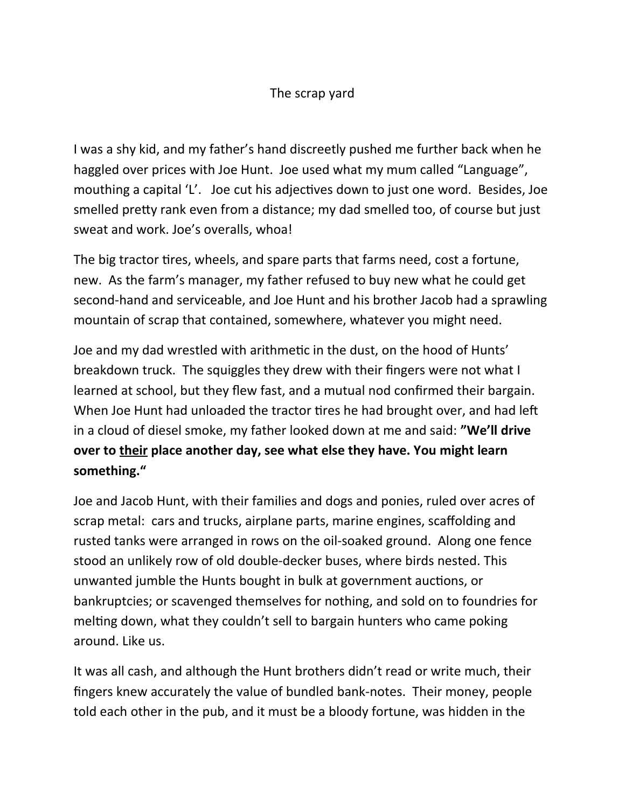## The scrap yard

I was a shy kid, and my father's hand discreetly pushed me further back when he haggled over prices with Joe Hunt. Joe used what my mum called "Language", mouthing a capital 'L'. Joe cut his adjectives down to just one word. Besides, Joe smelled pretty rank even from a distance; my dad smelled too, of course but just sweat and work. Joe's overalls, whoa!

The big tractor tires, wheels, and spare parts that farms need, cost a fortune, new. As the farm's manager, my father refused to buy new what he could get second-hand and serviceable, and Joe Hunt and his brother Jacob had a sprawling mountain of scrap that contained, somewhere, whatever you might need.

Joe and my dad wrestled with arithmetic in the dust, on the hood of Hunts' breakdown truck. The squiggles they drew with their fingers were not what I learned at school, but they flew fast, and a mutual nod confirmed their bargain. When Joe Hunt had unloaded the tractor tires he had brought over, and had left in a cloud of diesel smoke, my father looked down at me and said: **"We'll drive over to their place another day, see what else they have. You might learn something."**

Joe and Jacob Hunt, with their families and dogs and ponies, ruled over acres of scrap metal: cars and trucks, airplane parts, marine engines, scaffolding and rusted tanks were arranged in rows on the oil-soaked ground. Along one fence stood an unlikely row of old double-decker buses, where birds nested. This unwanted jumble the Hunts bought in bulk at government auctions, or bankruptcies; or scavenged themselves for nothing, and sold on to foundries for melting down, what they couldn't sell to bargain hunters who came poking around. Like us.

It was all cash, and although the Hunt brothers didn't read or write much, their fingers knew accurately the value of bundled bank-notes. Their money, people told each other in the pub, and it must be a bloody fortune, was hidden in the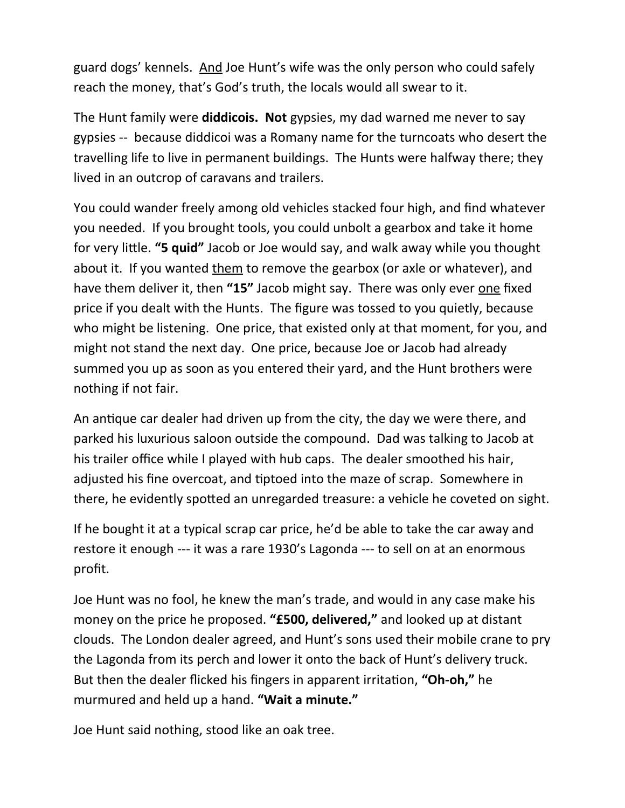guard dogs' kennels. And Joe Hunt's wife was the only person who could safely reach the money, that's God's truth, the locals would all swear to it.

The Hunt family were **diddicois. Not** gypsies, my dad warned me never to say gypsies -- because diddicoi was a Romany name for the turncoats who desert the travelling life to live in permanent buildings. The Hunts were halfway there; they lived in an outcrop of caravans and trailers.

You could wander freely among old vehicles stacked four high, and find whatever you needed. If you brought tools, you could unbolt a gearbox and take it home for very little. **"5 quid"** Jacob or Joe would say, and walk away while you thought about it. If you wanted them to remove the gearbox (or axle or whatever), and have them deliver it, then **"15"** Jacob might say. There was only ever one fixed price if you dealt with the Hunts. The figure was tossed to you quietly, because who might be listening. One price, that existed only at that moment, for you, and might not stand the next day. One price, because Joe or Jacob had already summed you up as soon as you entered their yard, and the Hunt brothers were nothing if not fair.

An antique car dealer had driven up from the city, the day we were there, and parked his luxurious saloon outside the compound. Dad was talking to Jacob at his trailer office while I played with hub caps. The dealer smoothed his hair, adjusted his fine overcoat, and tiptoed into the maze of scrap. Somewhere in there, he evidently spotted an unregarded treasure: a vehicle he coveted on sight.

If he bought it at a typical scrap car price, he'd be able to take the car away and restore it enough --- it was a rare 1930's Lagonda --- to sell on at an enormous profit.

Joe Hunt was no fool, he knew the man's trade, and would in any case make his money on the price he proposed. **"£500, delivered,"** and looked up at distant clouds. The London dealer agreed, and Hunt's sons used their mobile crane to pry the Lagonda from its perch and lower it onto the back of Hunt's delivery truck. But then the dealer flicked his fingers in apparent irritation, **"Oh-oh,"** he murmured and held up a hand. **"Wait a minute."**

Joe Hunt said nothing, stood like an oak tree.